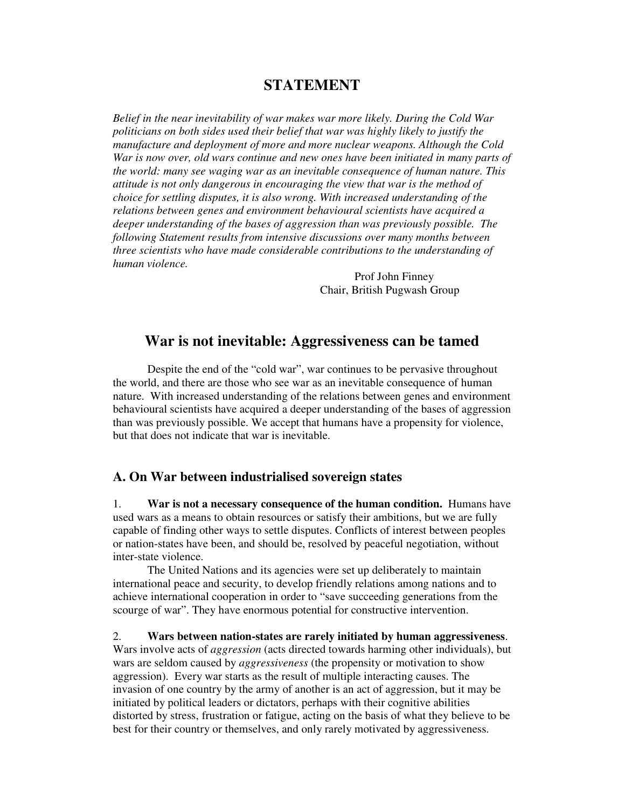# **STATEMENT**

*Belief in the near inevitability of war makes war more likely. During the Cold War politicians on both sides used their belief that war was highly likely to justify the manufacture and deployment of more and more nuclear weapons. Although the Cold War is now over, old wars continue and new ones have been initiated in many parts of the world: many see waging war as an inevitable consequence of human nature. This attitude is not only dangerous in encouraging the view that war is the method of choice for settling disputes, it is also wrong. With increased understanding of the relations between genes and environment behavioural scientists have acquired a deeper understanding of the bases of aggression than was previously possible. The following Statement results from intensive discussions over many months between three scientists who have made considerable contributions to the understanding of human violence.* 

> Prof John Finney Chair, British Pugwash Group

# **War is not inevitable: Aggressiveness can be tamed**

Despite the end of the "cold war", war continues to be pervasive throughout the world, and there are those who see war as an inevitable consequence of human nature. With increased understanding of the relations between genes and environment behavioural scientists have acquired a deeper understanding of the bases of aggression than was previously possible. We accept that humans have a propensity for violence, but that does not indicate that war is inevitable.

#### **A. On War between industrialised sovereign states**

1. **War is not a necessary consequence of the human condition.** Humans have used wars as a means to obtain resources or satisfy their ambitions, but we are fully capable of finding other ways to settle disputes. Conflicts of interest between peoples or nation-states have been, and should be, resolved by peaceful negotiation, without inter-state violence.

The United Nations and its agencies were set up deliberately to maintain international peace and security, to develop friendly relations among nations and to achieve international cooperation in order to "save succeeding generations from the scourge of war". They have enormous potential for constructive intervention.

2. **Wars between nation-states are rarely initiated by human aggressiveness**. Wars involve acts of *aggression* (acts directed towards harming other individuals), but wars are seldom caused by *aggressiveness* (the propensity or motivation to show aggression). Every war starts as the result of multiple interacting causes. The invasion of one country by the army of another is an act of aggression, but it may be initiated by political leaders or dictators, perhaps with their cognitive abilities distorted by stress, frustration or fatigue, acting on the basis of what they believe to be best for their country or themselves, and only rarely motivated by aggressiveness.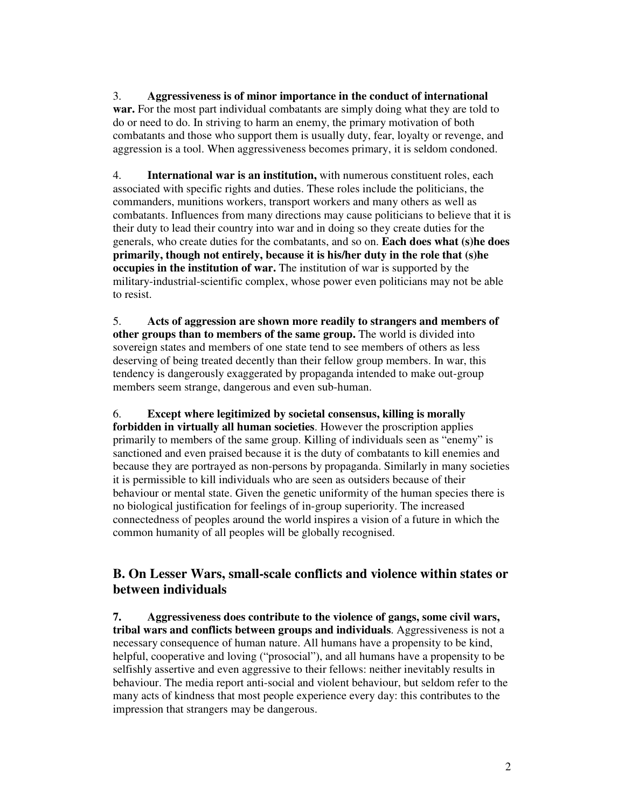3. **Aggressiveness is of minor importance in the conduct of international** 

**war.** For the most part individual combatants are simply doing what they are told to do or need to do. In striving to harm an enemy, the primary motivation of both combatants and those who support them is usually duty, fear, loyalty or revenge, and aggression is a tool. When aggressiveness becomes primary, it is seldom condoned.

4. **International war is an institution,** with numerous constituent roles, each associated with specific rights and duties. These roles include the politicians, the commanders, munitions workers, transport workers and many others as well as combatants. Influences from many directions may cause politicians to believe that it is their duty to lead their country into war and in doing so they create duties for the generals, who create duties for the combatants, and so on. **Each does what (s)he does primarily, though not entirely, because it is his/her duty in the role that (s)he occupies in the institution of war.** The institution of war is supported by the military-industrial-scientific complex, whose power even politicians may not be able to resist.

5. **Acts of aggression are shown more readily to strangers and members of other groups than to members of the same group.** The world is divided into sovereign states and members of one state tend to see members of others as less deserving of being treated decently than their fellow group members. In war, this tendency is dangerously exaggerated by propaganda intended to make out-group members seem strange, dangerous and even sub-human.

6. **Except where legitimized by societal consensus, killing is morally forbidden in virtually all human societies**. However the proscription applies primarily to members of the same group. Killing of individuals seen as "enemy" is sanctioned and even praised because it is the duty of combatants to kill enemies and because they are portrayed as non-persons by propaganda. Similarly in many societies it is permissible to kill individuals who are seen as outsiders because of their behaviour or mental state. Given the genetic uniformity of the human species there is no biological justification for feelings of in-group superiority. The increased connectedness of peoples around the world inspires a vision of a future in which the common humanity of all peoples will be globally recognised.

# **B. On Lesser Wars, small-scale conflicts and violence within states or between individuals**

**7. Aggressiveness does contribute to the violence of gangs, some civil wars, tribal wars and conflicts between groups and individuals**. Aggressiveness is not a necessary consequence of human nature. All humans have a propensity to be kind, helpful, cooperative and loving ("prosocial"), and all humans have a propensity to be selfishly assertive and even aggressive to their fellows: neither inevitably results in behaviour. The media report anti-social and violent behaviour, but seldom refer to the many acts of kindness that most people experience every day: this contributes to the impression that strangers may be dangerous.